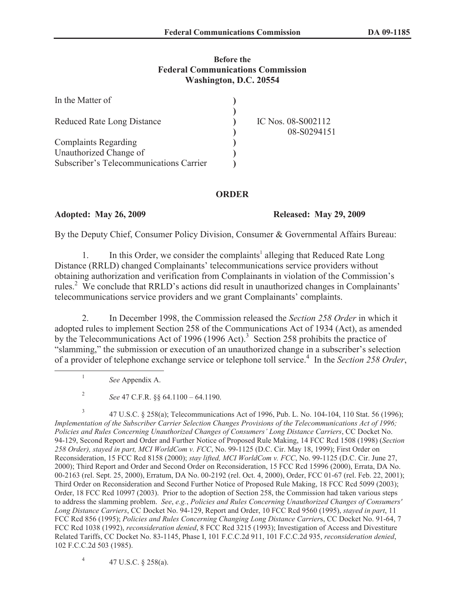## **Before the Federal Communications Commission Washington, D.C. 20554**

| In the Matter of                        |                                   |
|-----------------------------------------|-----------------------------------|
| <b>Reduced Rate Long Distance</b>       | IC Nos. 08-S002112<br>08-S0294151 |
| <b>Complaints Regarding</b>             |                                   |
| Unauthorized Change of                  |                                   |
| Subscriber's Telecommunications Carrier |                                   |

## **ORDER**

**Adopted: May 26, 2009 Released: May 29, 2009** 

By the Deputy Chief, Consumer Policy Division, Consumer & Governmental Affairs Bureau:

1. In this Order, we consider the complaints<sup>1</sup> alleging that Reduced Rate Long Distance (RRLD) changed Complainants' telecommunications service providers without obtaining authorization and verification from Complainants in violation of the Commission's rules.<sup>2</sup> We conclude that RRLD's actions did result in unauthorized changes in Complainants' telecommunications service providers and we grant Complainants' complaints.

2. In December 1998, the Commission released the *Section 258 Order* in which it adopted rules to implement Section 258 of the Communications Act of 1934 (Act), as amended by the Telecommunications Act of 1996 (1996 Act).<sup>3</sup> Section 258 prohibits the practice of "slamming," the submission or execution of an unauthorized change in a subscriber's selection of a provider of telephone exchange service or telephone toll service.<sup>4</sup> In the *Section 258 Order*,

*See* Appendix A.

1

2 *See* 47 C.F.R. §§ 64.1100 – 64.1190.

3 47 U.S.C. § 258(a); Telecommunications Act of 1996, Pub. L. No. 104-104, 110 Stat. 56 (1996); *Implementation of the Subscriber Carrier Selection Changes Provisions of the Telecommunications Act of 1996; Policies and Rules Concerning Unauthorized Changes of Consumers' Long Distance Carriers*, CC Docket No. 94-129, Second Report and Order and Further Notice of Proposed Rule Making, 14 FCC Rcd 1508 (1998) (*Section 258 Order), stayed in part, MCI WorldCom v. FCC*, No. 99-1125 (D.C. Cir. May 18, 1999); First Order on Reconsideration, 15 FCC Rcd 8158 (2000); *stay lifted, MCI WorldCom v. FCC*, No. 99-1125 (D.C. Cir. June 27, 2000); Third Report and Order and Second Order on Reconsideration, 15 FCC Rcd 15996 (2000), Errata, DA No. 00-2163 (rel. Sept. 25, 2000), Erratum, DA No. 00-2192 (rel. Oct. 4, 2000), Order, FCC 01-67 (rel. Feb. 22, 2001); Third Order on Reconsideration and Second Further Notice of Proposed Rule Making, 18 FCC Rcd 5099 (2003); Order, 18 FCC Rcd 10997 (2003). Prior to the adoption of Section 258, the Commission had taken various steps to address the slamming problem. *See*, *e.g.*, *Policies and Rules Concerning Unauthorized Changes of Consumers' Long Distance Carriers*, CC Docket No. 94-129, Report and Order, 10 FCC Rcd 9560 (1995), *stayed in part*, 11 FCC Rcd 856 (1995); *Policies and Rules Concerning Changing Long Distance Carrier*s, CC Docket No. 91-64, 7 FCC Rcd 1038 (1992), *reconsideration denied*, 8 FCC Rcd 3215 (1993); Investigation of Access and Divestiture Related Tariffs, CC Docket No. 83-1145, Phase I, 101 F.C.C.2d 911, 101 F.C.C.2d 935, *reconsideration denied*, 102 F.C.C.2d 503 (1985).

4 47 U.S.C. § 258(a).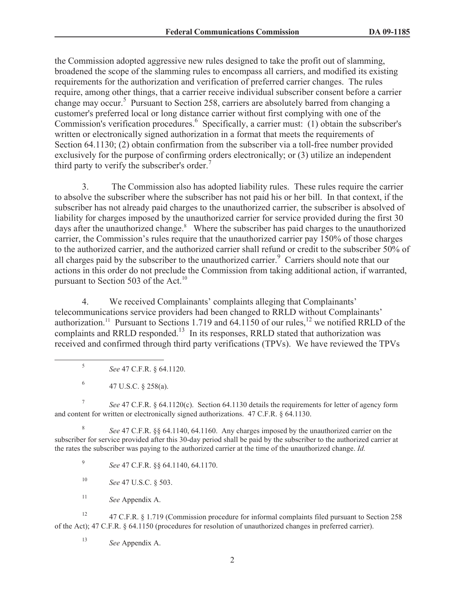the Commission adopted aggressive new rules designed to take the profit out of slamming, broadened the scope of the slamming rules to encompass all carriers, and modified its existing requirements for the authorization and verification of preferred carrier changes. The rules require, among other things, that a carrier receive individual subscriber consent before a carrier change may occur.<sup>5</sup> Pursuant to Section 258, carriers are absolutely barred from changing a customer's preferred local or long distance carrier without first complying with one of the Commission's verification procedures.<sup>6</sup> Specifically, a carrier must: (1) obtain the subscriber's written or electronically signed authorization in a format that meets the requirements of Section 64.1130; (2) obtain confirmation from the subscriber via a toll-free number provided exclusively for the purpose of confirming orders electronically; or (3) utilize an independent third party to verify the subscriber's order.<sup>7</sup>

3. The Commission also has adopted liability rules. These rules require the carrier to absolve the subscriber where the subscriber has not paid his or her bill. In that context, if the subscriber has not already paid charges to the unauthorized carrier, the subscriber is absolved of liability for charges imposed by the unauthorized carrier for service provided during the first 30 days after the unauthorized change.<sup>8</sup> Where the subscriber has paid charges to the unauthorized carrier, the Commission's rules require that the unauthorized carrier pay 150% of those charges to the authorized carrier, and the authorized carrier shall refund or credit to the subscriber 50% of all charges paid by the subscriber to the unauthorized carrier.<sup>9</sup> Carriers should note that our actions in this order do not preclude the Commission from taking additional action, if warranted, pursuant to Section 503 of the Act.<sup>10</sup>

4. We received Complainants' complaints alleging that Complainants' telecommunications service providers had been changed to RRLD without Complainants' authorization.<sup>11</sup> Pursuant to Sections 1.719 and 64.1150 of our rules,<sup>12</sup> we notified RRLD of the complaints and RRLD responded.<sup>13</sup> In its responses, RRLD stated that authorization was received and confirmed through third party verifications (TPVs). We have reviewed the TPVs

- 5 *See* 47 C.F.R. § 64.1120.
- 6 47 U.S.C. § 258(a).

7 *See* 47 C.F.R. § 64.1120(c). Section 64.1130 details the requirements for letter of agency form and content for written or electronically signed authorizations. 47 C.F.R. § 64.1130.

8 *See* 47 C.F.R. §§ 64.1140, 64.1160. Any charges imposed by the unauthorized carrier on the subscriber for service provided after this 30-day period shall be paid by the subscriber to the authorized carrier at the rates the subscriber was paying to the authorized carrier at the time of the unauthorized change. *Id.*

9 *See* 47 C.F.R. §§ 64.1140, 64.1170.

- <sup>10</sup> *See* 47 U.S.C. § 503.
- <sup>11</sup> *See* Appendix A.

<sup>12</sup> 47 C.F.R. § 1.719 (Commission procedure for informal complaints filed pursuant to Section 258 of the Act); 47 C.F.R. § 64.1150 (procedures for resolution of unauthorized changes in preferred carrier).

<sup>13</sup> *See* Appendix A.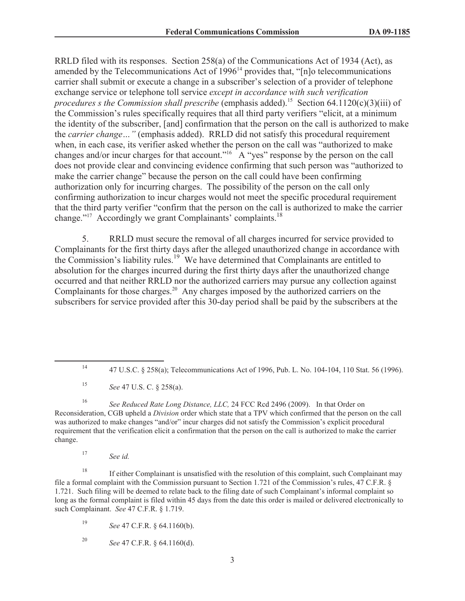RRLD filed with its responses. Section 258(a) of the Communications Act of 1934 (Act), as amended by the Telecommunications Act of  $1996<sup>14</sup>$  provides that, "[n]o telecommunications carrier shall submit or execute a change in a subscriber's selection of a provider of telephone exchange service or telephone toll service *except in accordance with such verification procedures s the Commission shall prescribe* (emphasis added).<sup>15</sup> Section 64.1120(c)(3)(iii) of the Commission's rules specifically requires that all third party verifiers "elicit, at a minimum the identity of the subscriber, [and] confirmation that the person on the call is authorized to make the *carrier change…"* (emphasis added). RRLD did not satisfy this procedural requirement when, in each case, its verifier asked whether the person on the call was "authorized to make changes and/or incur charges for that account."<sup>16</sup> A "yes" response by the person on the call does not provide clear and convincing evidence confirming that such person was "authorized to make the carrier change" because the person on the call could have been confirming authorization only for incurring charges. The possibility of the person on the call only confirming authorization to incur charges would not meet the specific procedural requirement that the third party verifier "confirm that the person on the call is authorized to make the carrier change."<sup>17</sup> Accordingly we grant Complainants' complaints.<sup>18</sup>

5. RRLD must secure the removal of all charges incurred for service provided to Complainants for the first thirty days after the alleged unauthorized change in accordance with the Commission's liability rules.<sup>19</sup> We have determined that Complainants are entitled to absolution for the charges incurred during the first thirty days after the unauthorized change occurred and that neither RRLD nor the authorized carriers may pursue any collection against Complainants for those charges.<sup>20</sup> Any charges imposed by the authorized carriers on the subscribers for service provided after this 30-day period shall be paid by the subscribers at the

<sup>16</sup> *See Reduced Rate Long Distance, LLC,* 24 FCC Rcd 2496 (2009). In that Order on Reconsideration, CGB upheld a *Division* order which state that a TPV which confirmed that the person on the call was authorized to make changes "and/or" incur charges did not satisfy the Commission's explicit procedural requirement that the verification elicit a confirmation that the person on the call is authorized to make the carrier change.

<sup>17</sup> *See id.*

<sup>18</sup> If either Complainant is unsatisfied with the resolution of this complaint, such Complainant may file a formal complaint with the Commission pursuant to Section 1.721 of the Commission's rules, 47 C.F.R. § 1.721. Such filing will be deemed to relate back to the filing date of such Complainant's informal complaint so long as the formal complaint is filed within 45 days from the date this order is mailed or delivered electronically to such Complainant. *See* 47 C.F.R. § 1.719.

<sup>19</sup> *See* 47 C.F.R. § 64.1160(b).

<sup>20</sup> *See* 47 C.F.R. § 64.1160(d).

<sup>14</sup> 47 U.S.C. § 258(a); Telecommunications Act of 1996, Pub. L. No. 104-104, 110 Stat. 56 (1996).

<sup>15</sup> *See* 47 U.S. C. § 258(a).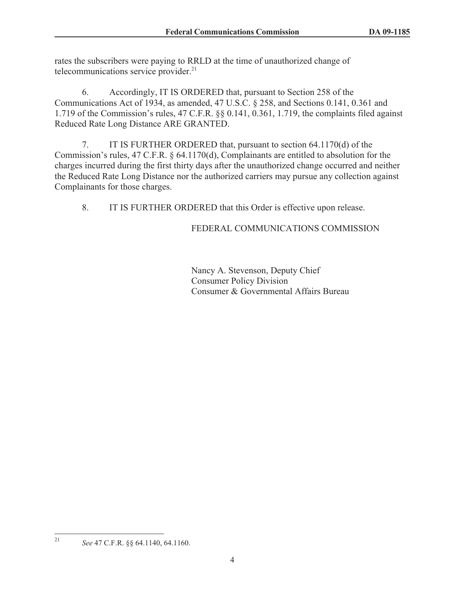rates the subscribers were paying to RRLD at the time of unauthorized change of telecommunications service provider.<sup>21</sup>

6. Accordingly, IT IS ORDERED that, pursuant to Section 258 of the Communications Act of 1934, as amended, 47 U.S.C. § 258, and Sections 0.141, 0.361 and 1.719 of the Commission's rules, 47 C.F.R. §§ 0.141, 0.361, 1.719, the complaints filed against Reduced Rate Long Distance ARE GRANTED.

7. IT IS FURTHER ORDERED that, pursuant to section 64.1170(d) of the Commission's rules, 47 C.F.R. § 64.1170(d), Complainants are entitled to absolution for the charges incurred during the first thirty days after the unauthorized change occurred and neither the Reduced Rate Long Distance nor the authorized carriers may pursue any collection against Complainants for those charges.

8. IT IS FURTHER ORDERED that this Order is effective upon release.

## FEDERAL COMMUNICATIONS COMMISSION

Nancy A. Stevenson, Deputy Chief Consumer Policy Division Consumer & Governmental Affairs Bureau

<sup>21</sup> *See* 47 C.F.R. §§ 64.1140, 64.1160.